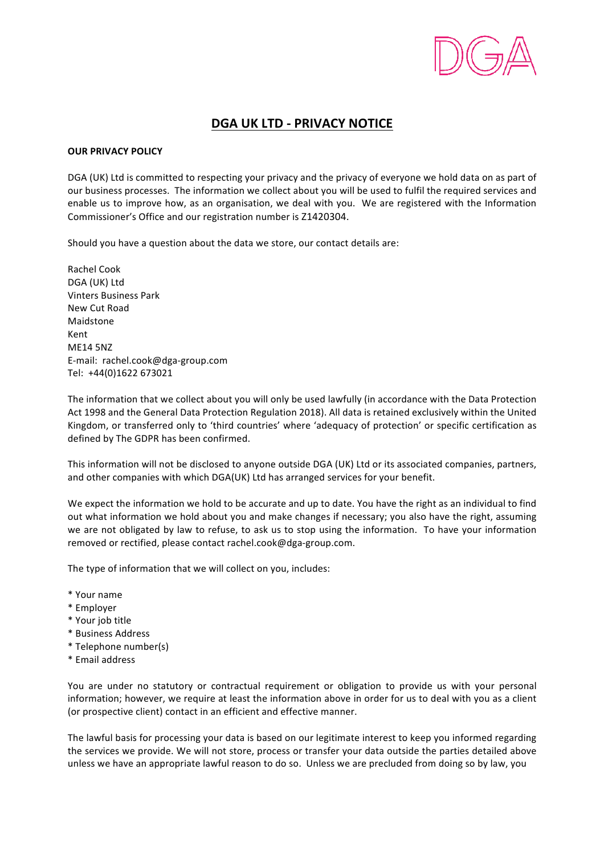

## **DGA UK LTD - PRIVACY NOTICE**

## **OUR PRIVACY POLICY**

DGA (UK) Ltd is committed to respecting your privacy and the privacy of everyone we hold data on as part of our business processes. The information we collect about you will be used to fulfil the required services and enable us to improve how, as an organisation, we deal with you. We are registered with the Information Commissioner's Office and our registration number is Z1420304.

Should you have a question about the data we store, our contact details are:

Rachel Cook DGA (UK) Ltd Vinters Business Park New Cut Road Maidstone Kent ME14 5NZ E-mail: rachel.cook@dga-group.com Tel: +44(0)1622 673021

The information that we collect about you will only be used lawfully (in accordance with the Data Protection Act 1998 and the General Data Protection Regulation 2018). All data is retained exclusively within the United Kingdom, or transferred only to 'third countries' where 'adequacy of protection' or specific certification as defined by The GDPR has been confirmed.

This information will not be disclosed to anyone outside DGA (UK) Ltd or its associated companies, partners, and other companies with which DGA(UK) Ltd has arranged services for your benefit.

We expect the information we hold to be accurate and up to date. You have the right as an individual to find out what information we hold about you and make changes if necessary; you also have the right, assuming we are not obligated by law to refuse, to ask us to stop using the information. To have your information removed or rectified, please contact rachel.cook@dga-group.com.

The type of information that we will collect on you, includes:

- \* Your name
- \* Employer
- \* Your job title
- \* Business Address
- \* Telephone number(s)
- \* Email address

You are under no statutory or contractual requirement or obligation to provide us with your personal information; however, we require at least the information above in order for us to deal with you as a client (or prospective client) contact in an efficient and effective manner.

The lawful basis for processing your data is based on our legitimate interest to keep you informed regarding the services we provide. We will not store, process or transfer your data outside the parties detailed above unless we have an appropriate lawful reason to do so. Unless we are precluded from doing so by law, you